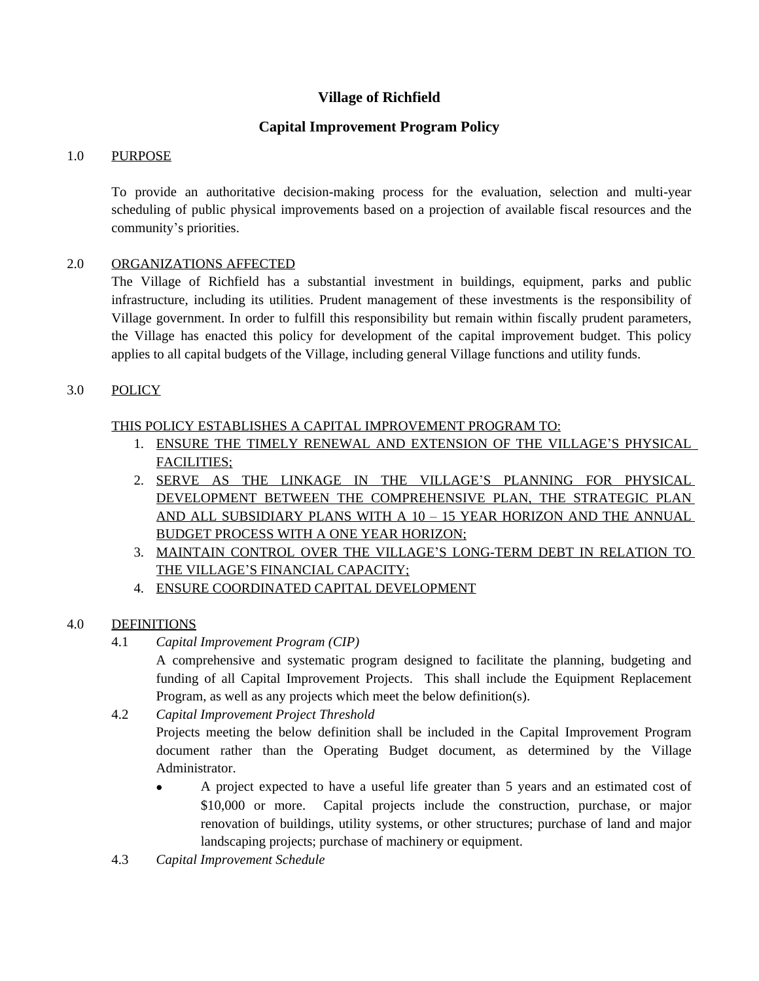# **Village of Richfield**

# **Capital Improvement Program Policy**

### 1.0 PURPOSE

To provide an authoritative decision-making process for the evaluation, selection and multi-year scheduling of public physical improvements based on a projection of available fiscal resources and the community's priorities.

### 2.0 ORGANIZATIONS AFFECTED

The Village of Richfield has a substantial investment in buildings, equipment, parks and public infrastructure, including its utilities. Prudent management of these investments is the responsibility of Village government. In order to fulfill this responsibility but remain within fiscally prudent parameters, the Village has enacted this policy for development of the capital improvement budget. This policy applies to all capital budgets of the Village, including general Village functions and utility funds.

### 3.0 POLICY

## THIS POLICY ESTABLISHES A CAPITAL IMPROVEMENT PROGRAM TO:

- 1. ENSURE THE TIMELY RENEWAL AND EXTENSION OF THE VILLAGE'S PHYSICAL FACILITIES;
- 2. SERVE AS THE LINKAGE IN THE VILLAGE'S PLANNING FOR PHYSICAL DEVELOPMENT BETWEEN THE COMPREHENSIVE PLAN, THE STRATEGIC PLAN AND ALL SUBSIDIARY PLANS WITH A 10 – 15 YEAR HORIZON AND THE ANNUAL BUDGET PROCESS WITH A ONE YEAR HORIZON;
- 3. MAINTAIN CONTROL OVER THE VILLAGE'S LONG-TERM DEBT IN RELATION TO THE VILLAGE'S FINANCIAL CAPACITY;
- 4. ENSURE COORDINATED CAPITAL DEVELOPMENT

## 4.0 DEFINITIONS

4.1 *Capital Improvement Program (CIP)*

A comprehensive and systematic program designed to facilitate the planning, budgeting and funding of all Capital Improvement Projects. This shall include the Equipment Replacement Program, as well as any projects which meet the below definition(s).

4.2 *Capital Improvement Project Threshold*

Projects meeting the below definition shall be included in the Capital Improvement Program document rather than the Operating Budget document, as determined by the Village Administrator.

- A project expected to have a useful life greater than 5 years and an estimated cost of \$10,000 or more. Capital projects include the construction, purchase, or major renovation of buildings, utility systems, or other structures; purchase of land and major landscaping projects; purchase of machinery or equipment.
- 4.3 *Capital Improvement Schedule*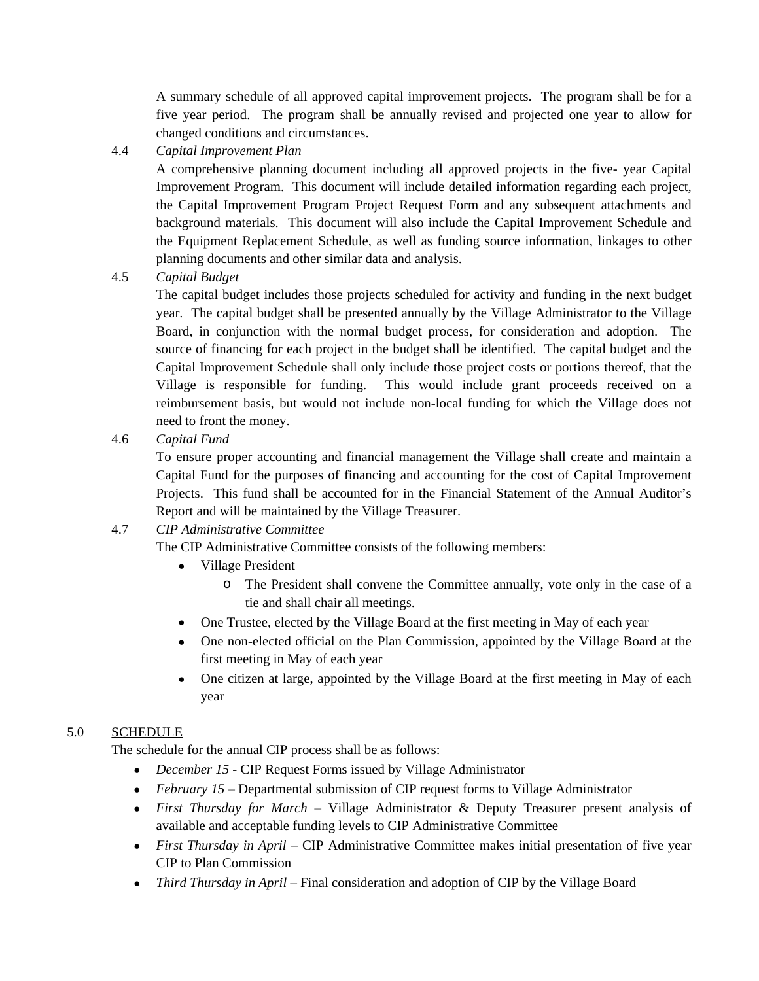A summary schedule of all approved capital improvement projects. The program shall be for a five year period. The program shall be annually revised and projected one year to allow for changed conditions and circumstances.

4.4 *Capital Improvement Plan*

A comprehensive planning document including all approved projects in the five- year Capital Improvement Program. This document will include detailed information regarding each project, the Capital Improvement Program Project Request Form and any subsequent attachments and background materials. This document will also include the Capital Improvement Schedule and the Equipment Replacement Schedule, as well as funding source information, linkages to other planning documents and other similar data and analysis.

4.5 *Capital Budget*

The capital budget includes those projects scheduled for activity and funding in the next budget year. The capital budget shall be presented annually by the Village Administrator to the Village Board, in conjunction with the normal budget process, for consideration and adoption. The source of financing for each project in the budget shall be identified. The capital budget and the Capital Improvement Schedule shall only include those project costs or portions thereof, that the Village is responsible for funding. This would include grant proceeds received on a reimbursement basis, but would not include non-local funding for which the Village does not need to front the money.

4.6 *Capital Fund*

To ensure proper accounting and financial management the Village shall create and maintain a Capital Fund for the purposes of financing and accounting for the cost of Capital Improvement Projects. This fund shall be accounted for in the Financial Statement of the Annual Auditor's Report and will be maintained by the Village Treasurer.

# 4.7 *CIP Administrative Committee*

The CIP Administrative Committee consists of the following members:

- Village President
	- o The President shall convene the Committee annually, vote only in the case of a tie and shall chair all meetings.
- One Trustee, elected by the Village Board at the first meeting in May of each year
- One non-elected official on the Plan Commission, appointed by the Village Board at the first meeting in May of each year
- One citizen at large, appointed by the Village Board at the first meeting in May of each year

# 5.0 SCHEDULE

The schedule for the annual CIP process shall be as follows:

- *December 15* CIP Request Forms issued by Village Administrator
- *February 15 –* Departmental submission of CIP request forms to Village Administrator
- *First Thursday for March –* Village Administrator & Deputy Treasurer present analysis of available and acceptable funding levels to CIP Administrative Committee
- *First Thursday in April –* CIP Administrative Committee makes initial presentation of five year CIP to Plan Commission
- *Third Thursday in April* Final consideration and adoption of CIP by the Village Board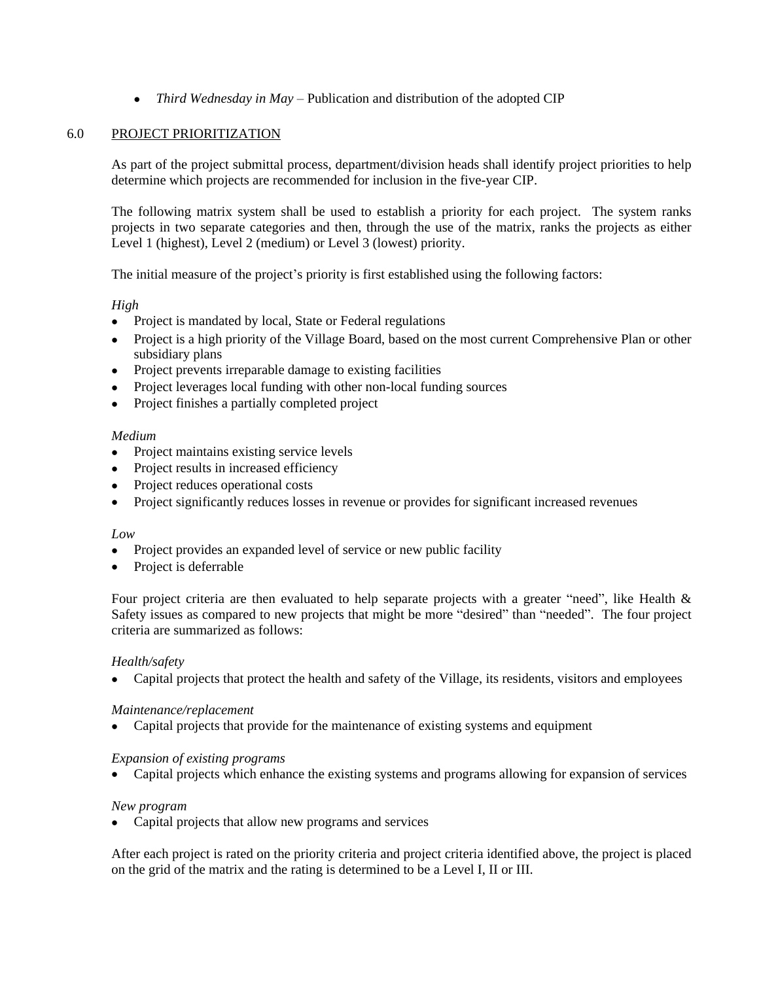• *Third Wednesday in May* – Publication and distribution of the adopted CIP

#### 6.0 PROJECT PRIORITIZATION

As part of the project submittal process, department/division heads shall identify project priorities to help determine which projects are recommended for inclusion in the five-year CIP.

The following matrix system shall be used to establish a priority for each project. The system ranks projects in two separate categories and then, through the use of the matrix, ranks the projects as either Level 1 (highest), Level 2 (medium) or Level 3 (lowest) priority.

The initial measure of the project's priority is first established using the following factors:

### *High*

- Project is mandated by local, State or Federal regulations
- Project is a high priority of the Village Board, based on the most current Comprehensive Plan or other subsidiary plans
- Project prevents irreparable damage to existing facilities
- Project leverages local funding with other non-local funding sources
- Project finishes a partially completed project

#### *Medium*

- Project maintains existing service levels
- Project results in increased efficiency
- Project reduces operational costs
- Project significantly reduces losses in revenue or provides for significant increased revenues

#### *Low*

- Project provides an expanded level of service or new public facility
- Project is deferrable

Four project criteria are then evaluated to help separate projects with a greater "need", like Health  $\&$ Safety issues as compared to new projects that might be more "desired" than "needed". The four project criteria are summarized as follows:

#### *Health/safety*

Capital projects that protect the health and safety of the Village, its residents, visitors and employees

#### *Maintenance/replacement*

Capital projects that provide for the maintenance of existing systems and equipment

#### *Expansion of existing programs*

Capital projects which enhance the existing systems and programs allowing for expansion of services

#### *New program*

• Capital projects that allow new programs and services

After each project is rated on the priority criteria and project criteria identified above, the project is placed on the grid of the matrix and the rating is determined to be a Level I, II or III.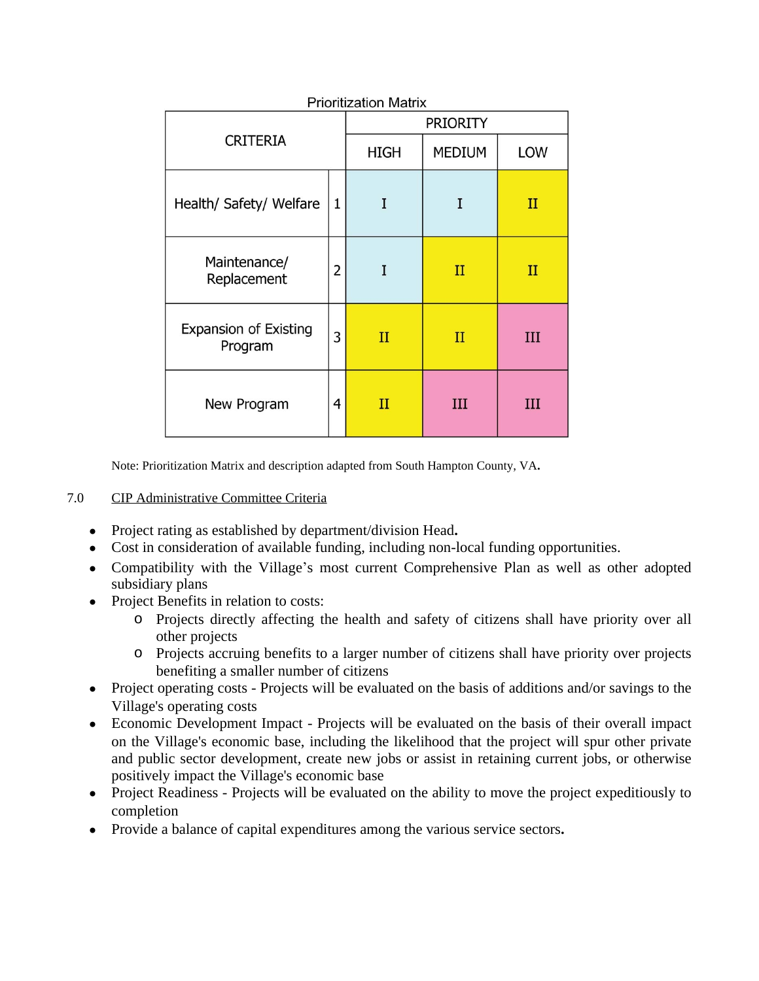| <b>CRITERIA</b>                         |              | <b>INIBEQUOI IVIQUIA</b><br><b>PRIORITY</b> |               |             |  |  |  |
|-----------------------------------------|--------------|---------------------------------------------|---------------|-------------|--|--|--|
|                                         |              | <b>HIGH</b>                                 | <b>MEDIUM</b> | LOW         |  |  |  |
| Health/ Safety/ Welfare                 | $\mathbf{1}$ | I                                           | I             | $_{II}$     |  |  |  |
| Maintenance/<br>Replacement             | 2            | I                                           | $_{II}$       | $_{\rm II}$ |  |  |  |
| <b>Expansion of Existing</b><br>Program | 3            | $_{\rm II}$                                 | $_{\rm II}$   | III         |  |  |  |
| New Program                             | 4            | $_{\rm II}$                                 | III           | III         |  |  |  |

**Prioritization Matrix** 

Note: Prioritization Matrix and description adapted from South Hampton County, VA**.**

## 7.0 CIP Administrative Committee Criteria

- Project rating as established by department/division Head**.**
- Cost in consideration of available funding, including non-local funding opportunities.
- Compatibility with the Village's most current Comprehensive Plan as well as other adopted subsidiary plans
- Project Benefits in relation to costs:
	- o Projects directly affecting the health and safety of citizens shall have priority over all other projects
	- o Projects accruing benefits to a larger number of citizens shall have priority over projects benefiting a smaller number of citizens
- Project operating costs Projects will be evaluated on the basis of additions and/or savings to the Village's operating costs
- Economic Development Impact Projects will be evaluated on the basis of their overall impact on the Village's economic base, including the likelihood that the project will spur other private and public sector development, create new jobs or assist in retaining current jobs, or otherwise positively impact the Village's economic base
- Project Readiness Projects will be evaluated on the ability to move the project expeditiously to completion
- Provide a balance of capital expenditures among the various service sectors**.**